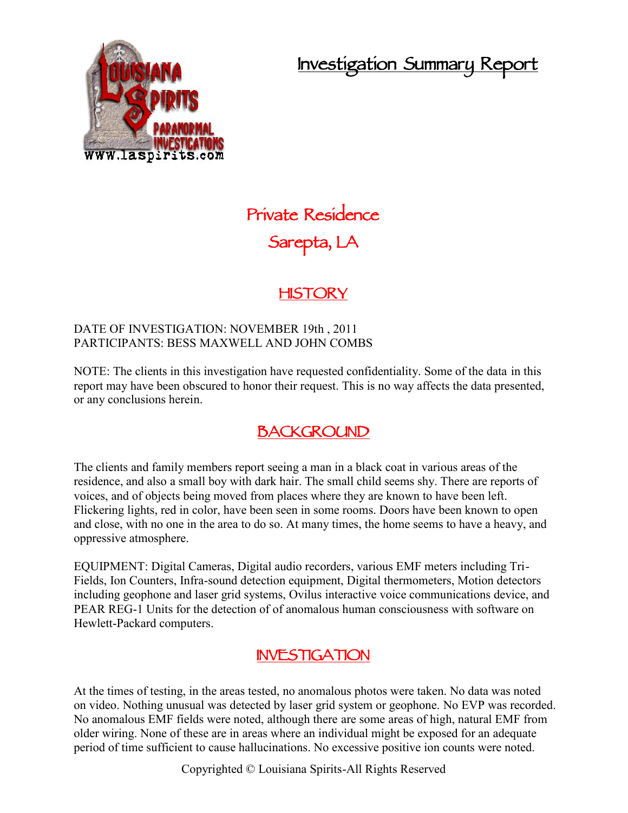**Investigation Summary Report**



# **Private Residence Sarepta, LA**

### **HISTORY**

#### DATE OF INVESTIGATION: NOVEMBER 19th , 2011 PARTICIPANTS: BESS MAXWELL AND JOHN COMBS

NOTE: The clients in this investigation have requested confidentiality. Some of the data in this report may have been obscured to honor their request. This is no way affects the data presented, or any conclusions herein.

### **BACKGROUND**

The clients and family members report seeing a man in a black coat in various areas of the residence, and also a small boy with dark hair. The small child seems shy. There are reports of voices, and of objects being moved from places where they are known to have been left. Flickering lights, red in color, have been seen in some rooms. Doors have been known to open and close, with no one in the area to do so. At many times, the home seems to have a heavy, and oppressive atmosphere.

EQUIPMENT: Digital Cameras, Digital audio recorders, various EMF meters including Tri- Fields, Ion Counters, Infra-sound detection equipment, Digital thermometers, Motion detectors including geophone and laser grid systems, Ovilus interactive voice communications device, and PEAR REG-1 Units for the detection of of anomalous human consciousness with software on Hewlett-Packard computers.

#### **INVESTIGATION**

At the times of testing, in the areas tested, no anomalous photos were taken. No data was noted on video. Nothing unusual was detected by laser grid system or geophone. No EVP was recorded. No anomalous EMF fields were noted, although there are some areas of high, natural EMF from older wiring. None of these are in areas where an individual might be exposed for an adequate period of time sufficient to cause hallucinations. No excessive positive ion counts were noted.

Copyrighted © Louisiana Spirits-All Rights Reserved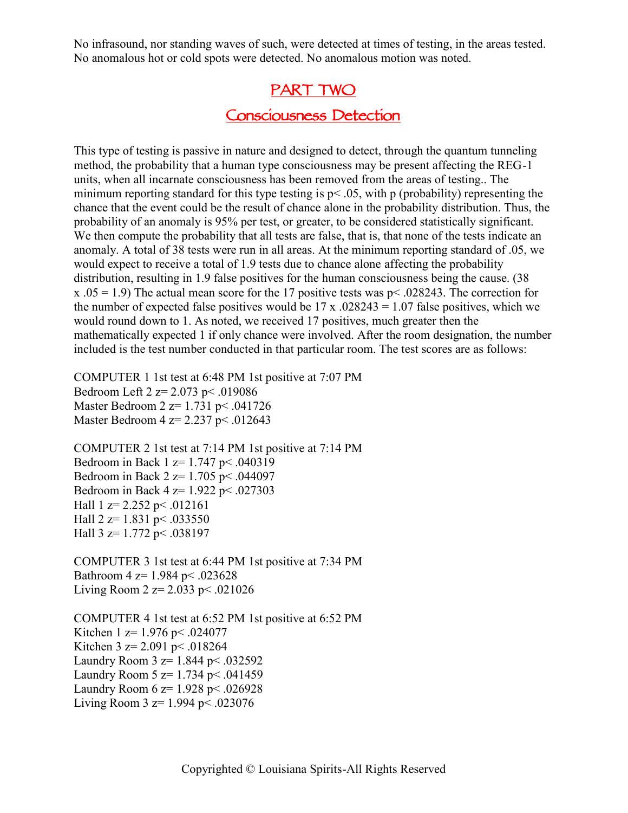No infrasound, nor standing waves of such, were detected at times of testing, in the areas tested. No anomalous hot or cold spots were detected. No anomalous motion was noted.

#### **PART TWO**

### **Consciousness Detection**

This type of testing is passive in nature and designed to detect, through the quantum tunneling method, the probability that a human type consciousness may be present affecting the REG-1 units, when all incarnate consciousness has been removed from the areas of testing.. The minimum reporting standard for this type testing is  $p < .05$ , with p (probability) representing the chance that the event could be the result of chance alone in the probability distribution. Thus, the probability of an anomaly is 95% per test, or greater, to be considered statistically significant. We then compute the probability that all tests are false, that is, that none of the tests indicate an anomaly. A total of 38 tests were run in all areas. At the minimum reporting standard of .05, we would expect to receive a total of 1.9 tests due to chance alone affecting the probability distribution, resulting in 1.9 false positives for the human consciousness being the cause. (38 x .05 = 1.9) The actual mean score for the 17 positive tests was  $p$  < .028243. The correction for the number of expected false positives would be  $17 \times 0.028243 = 1.07$  false positives, which we would round down to 1. As noted, we received 17 positives, much greater then the mathematically expected 1 if only chance were involved. After the room designation, the number included is the test number conducted in that particular room. The test scores are as follows:

COMPUTER 1 1st test at 6:48 PM 1st positive at 7:07 PM Bedroom Left 2 z= 2.073 p< .019086 Master Bedroom 2 z= 1.731 p< .041726 Master Bedroom 4 z= 2.237 p< .012643

COMPUTER 2 1st test at 7:14 PM 1st positive at 7:14 PM Bedroom in Back 1 z= 1.747 p< .040319 Bedroom in Back 2 z= 1.705 p< .044097 Bedroom in Back 4 z= 1.922 p< .027303 Hall  $1 \text{ z} = 2.252 \text{ p} < .012161$ Hall  $2 \text{ z} = 1.831 \text{ p} < .033550$ Hall  $3 \text{ z} = 1.772 \text{ p} < .038197$ 

COMPUTER 3 1st test at 6:44 PM 1st positive at 7:34 PM Bathroom 4 z= 1.984 p< .023628 Living Room 2  $z = 2.033$  p < .021026

COMPUTER 4 1st test at 6:52 PM 1st positive at 6:52 PM Kitchen 1 z=  $1.976$  p < .024077 Kitchen 3 z= 2.091 p < .018264 Laundry Room  $3 z= 1.844$  p < .032592 Laundry Room  $5 \text{ z} = 1.734 \text{ p} < .041459$ Laundry Room 6 z= 1.928 p< .026928 Living Room 3  $z = 1.994$  p< .023076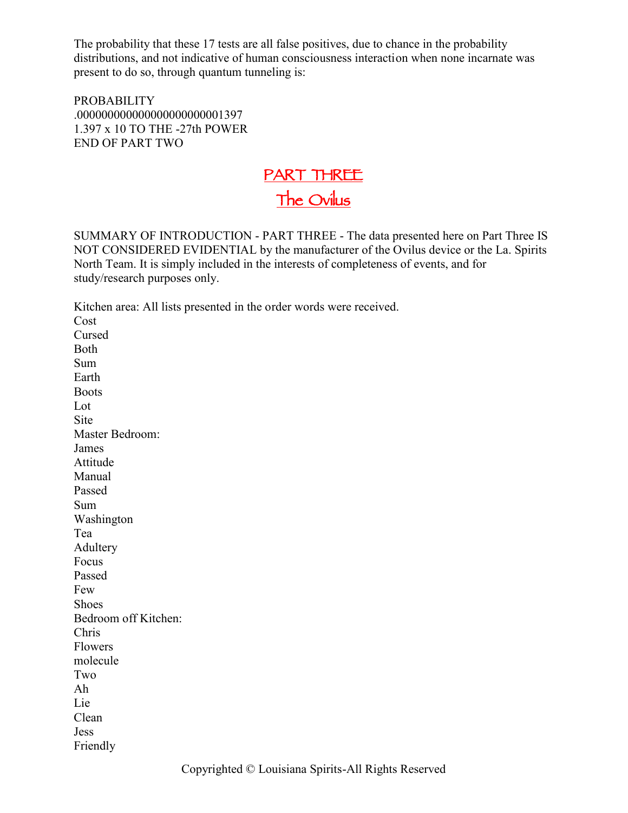The probability that these 17 tests are all false positives, due to chance in the probability distributions, and not indicative of human consciousness interaction when none incarnate was present to do so, through quantum tunneling is:

PROBABILITY .000000000000000000000001397 1.397 x 10 TO THE -27th POWER END OF PART TWO

## **PART THREE The Ovilus**

SUMMARY OF INTRODUCTION - PART THREE - The data presented here on Part Three IS NOT CONSIDERED EVIDENTIAL by the manufacturer of the Ovilus device or the La. Spirits North Team. It is simply included in the interests of completeness of events, and for study/research purposes only.

Kitchen area: All lists presented in the order words were received. Cost Cursed Both Sum Earth Boots Lot **Site** Master Bedroom: James Attitude Manual Passed Sum Washington Tea Adultery Focus Passed Few Shoes Bedroom off Kitchen: Chris Flowers molecule Two Ah Lie Clean Jess Friendly